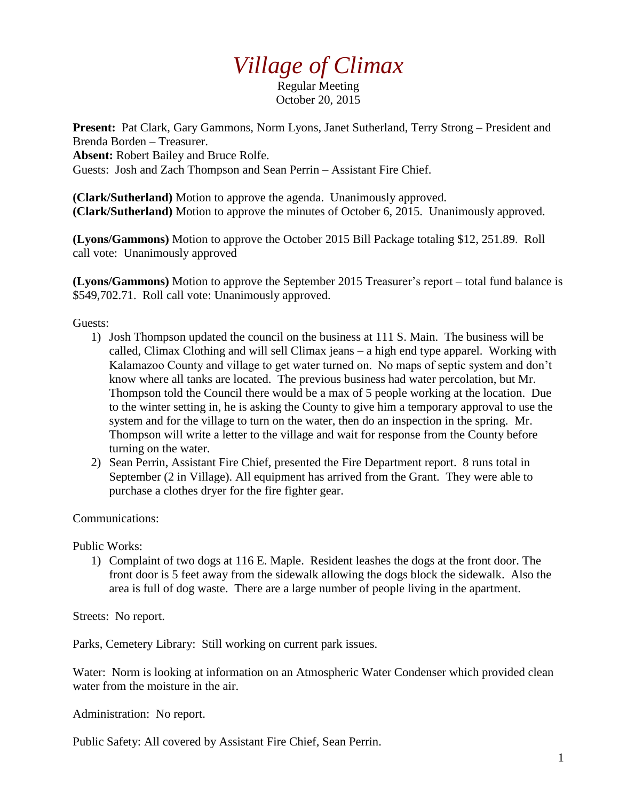## *Village of Climax*

Regular Meeting October 20, 2015

**Present:** Pat Clark, Gary Gammons, Norm Lyons, Janet Sutherland, Terry Strong – President and Brenda Borden – Treasurer.

**Absent:** Robert Bailey and Bruce Rolfe.

Guests: Josh and Zach Thompson and Sean Perrin – Assistant Fire Chief.

**(Clark/Sutherland)** Motion to approve the agenda. Unanimously approved. **(Clark/Sutherland)** Motion to approve the minutes of October 6, 2015. Unanimously approved.

**(Lyons/Gammons)** Motion to approve the October 2015 Bill Package totaling \$12, 251.89. Roll call vote: Unanimously approved

**(Lyons/Gammons)** Motion to approve the September 2015 Treasurer's report – total fund balance is \$549,702.71. Roll call vote: Unanimously approved.

Guests:

- 1) Josh Thompson updated the council on the business at 111 S. Main. The business will be called, Climax Clothing and will sell Climax jeans – a high end type apparel. Working with Kalamazoo County and village to get water turned on. No maps of septic system and don't know where all tanks are located. The previous business had water percolation, but Mr. Thompson told the Council there would be a max of 5 people working at the location. Due to the winter setting in, he is asking the County to give him a temporary approval to use the system and for the village to turn on the water, then do an inspection in the spring. Mr. Thompson will write a letter to the village and wait for response from the County before turning on the water.
- 2) Sean Perrin, Assistant Fire Chief, presented the Fire Department report. 8 runs total in September (2 in Village). All equipment has arrived from the Grant. They were able to purchase a clothes dryer for the fire fighter gear.

Communications:

Public Works:

1) Complaint of two dogs at 116 E. Maple. Resident leashes the dogs at the front door. The front door is 5 feet away from the sidewalk allowing the dogs block the sidewalk. Also the area is full of dog waste. There are a large number of people living in the apartment.

Streets: No report.

Parks, Cemetery Library: Still working on current park issues.

Water: Norm is looking at information on an Atmospheric Water Condenser which provided clean water from the moisture in the air.

Administration: No report.

Public Safety: All covered by Assistant Fire Chief, Sean Perrin.